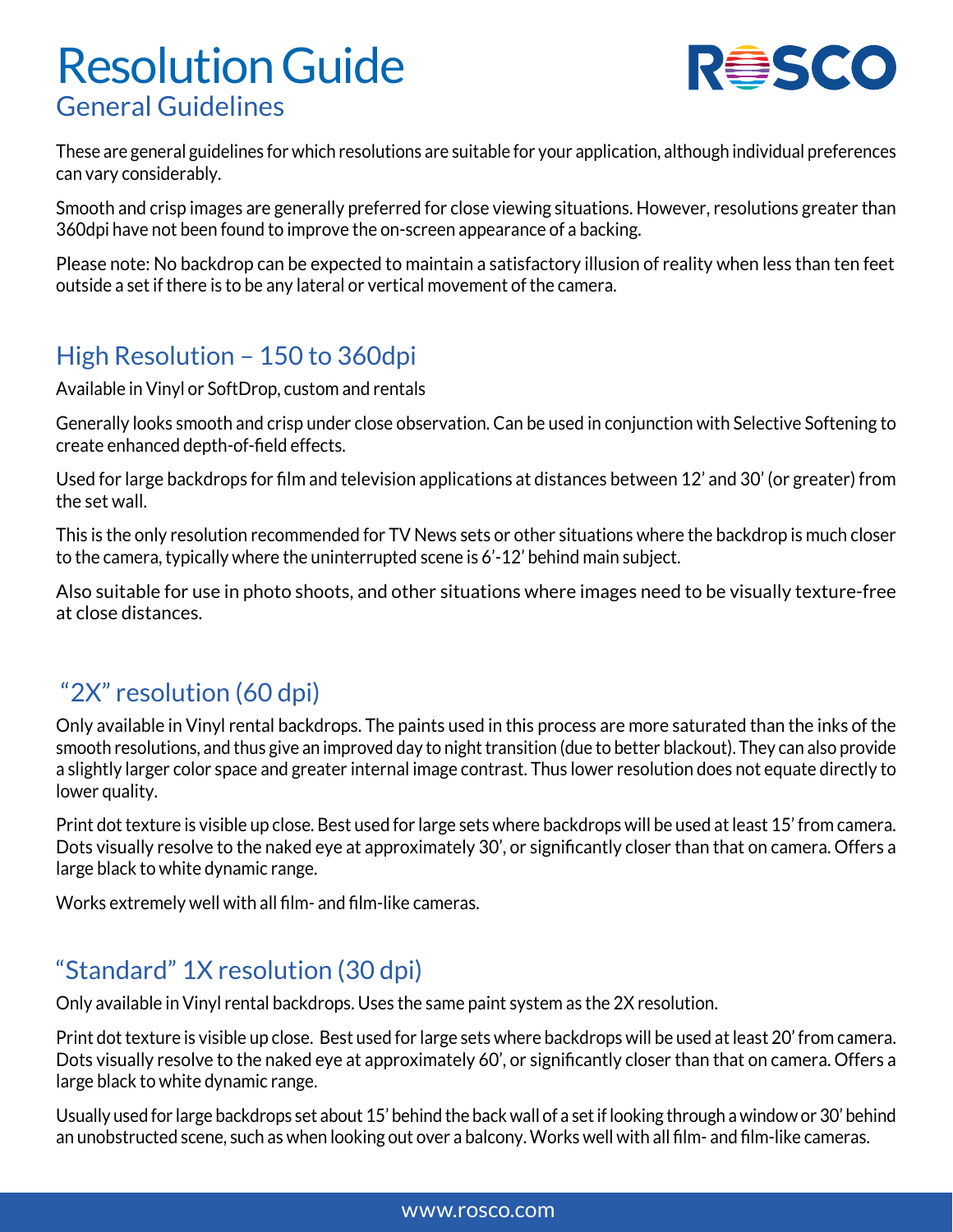# Resolution Guide General Guidelines



These are general guidelines for which resolutions are suitable for your application, although individual preferences can vary considerably.

Smooth and crisp images are generally preferred for close viewing situations. However, resolutions greater than 360dpi have not been found to improve the on-screen appearance of a backing.

Please note: No backdrop can be expected to maintain a satisfactory illusion of reality when less than ten feet outside a set if there is to be any lateral or vertical movement of the camera.

#### High Resolution – 150 to 360dpi

Available in Vinyl or SoftDrop, custom and rentals

Generally looks smooth and crisp under close observation. Can be used in conjunction with Selective Softening to create enhanced depth-of-field effects.

Used for large backdrops for film and television applications at distances between 12' and 30' (or greater) from the set wall.

This is the only resolution recommended for TV News sets or other situations where the backdrop is much closer to the camera, typically where the uninterrupted scene is 6'-12' behind main subject.

Also suitable for use in photo shoots, and other situations where images need to be visually texture-free at close distances.

### "2X" resolution (60 dpi)

Only available in Vinyl rental backdrops. The paints used in this process are more saturated than the inks of the smooth resolutions, and thus give an improved day to night transition (due to better blackout). They can also provide a slightly larger color space and greater internal image contrast. Thus lower resolution does not equate directly to lower quality.

Print dot texture is visible up close. Best used for large sets where backdrops will be used at least 15' from camera. Dots visually resolve to the naked eye at approximately 30', or significantly closer than that on camera. Offers a large black to white dynamic range.

Works extremely well with all film- and film-like cameras.

#### "Standard" 1X resolution (30 dpi)

Only available in Vinyl rental backdrops. Uses the same paint system as the 2X resolution.

Print dot texture is visible up close. Best used for large sets where backdrops will be used at least 20' from camera. Dots visually resolve to the naked eye at approximately 60', or significantly closer than that on camera. Offers a large black to white dynamic range.

Usually used for large backdrops set about 15' behind the back wall of a set if looking through a window or 30' behind an unobstructed scene, such as when looking out over a balcony. Works well with all film- and film-like cameras.